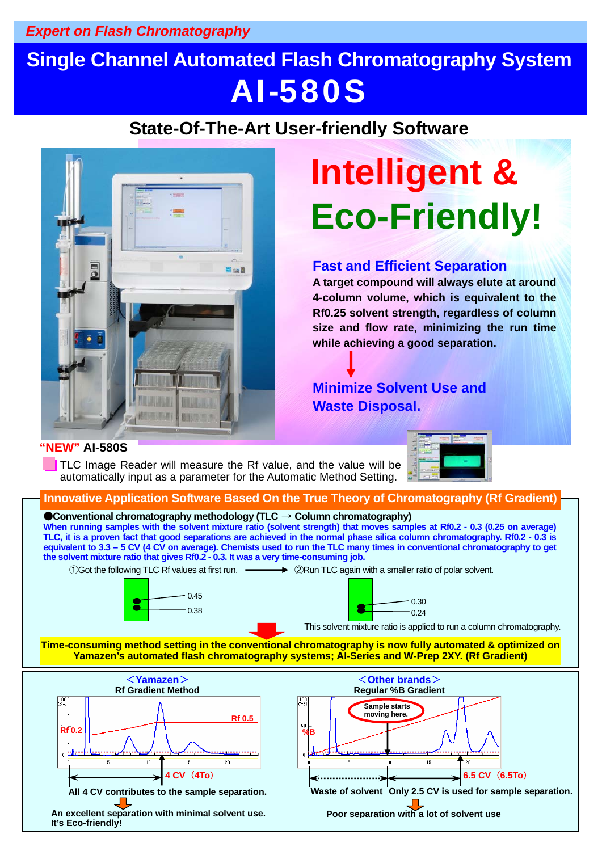#### *Expert on Flash Chromatography*

# **Single Channel Automated Flash Chromatography System** AI-580S

### **State-Of-The-Art User-friendly Software**



# **Intelligent & Eco-Friendly!**

#### **Fast and Efficient Separation**

**A target compound will always elute at around 4-column volume, which is equivalent to the Rf0.25 solvent strength, regardless of column size and flow rate, minimizing the run time while achieving a good separation.** 

#### **Minimize Solvent Use and Waste Disposal.**

Poor separation with a lot of solvent use

#### **"NEW" AI-580S**

TLC Image Reader will measure the Rf value, and the value will be automatically input as a parameter for the Automatic Method Setting.





An excellent separation with minimal solvent use. **It's Eco-friendly!**